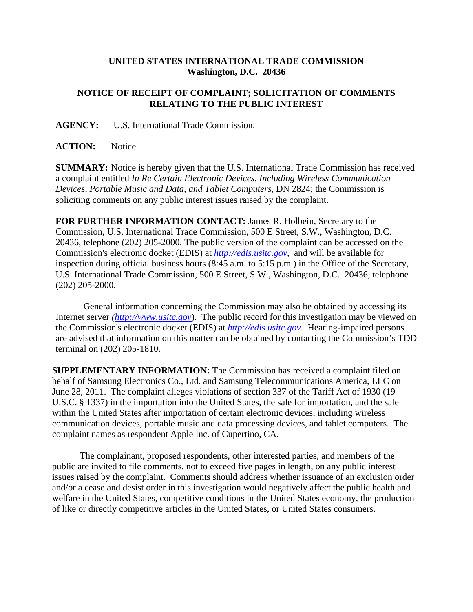## **UNITED STATES INTERNATIONAL TRADE COMMISSION Washington, D.C. 20436**

## **NOTICE OF RECEIPT OF COMPLAINT; SOLICITATION OF COMMENTS RELATING TO THE PUBLIC INTEREST**

**AGENCY:** U.S. International Trade Commission.

**ACTION:** Notice.

**SUMMARY:** Notice is hereby given that the U.S. International Trade Commission has received a complaint entitled *In Re Certain Electronic Devices, Including Wireless Communication Devices, Portable Music and Data, and Tablet Computers*, DN 2824; the Commission is soliciting comments on any public interest issues raised by the complaint.

**FOR FURTHER INFORMATION CONTACT:** James R. Holbein, Secretary to the Commission, U.S. International Trade Commission, 500 E Street, S.W., Washington, D.C. 20436, telephone (202) 205-2000. The public version of the complaint can be accessed on the Commission's electronic docket (EDIS) at *http://edis.usitc.gov*,and will be available for inspection during official business hours (8:45 a.m. to 5:15 p.m.) in the Office of the Secretary, U.S. International Trade Commission, 500 E Street, S.W., Washington, D.C. 20436, telephone (202) 205-2000.

General information concerning the Commission may also be obtained by accessing its Internet server *(http://www.usitc.gov*). The public record for this investigation may be viewed on the Commission's electronic docket (EDIS) at *http://edis.usitc.gov*. Hearing-impaired persons are advised that information on this matter can be obtained by contacting the Commission's TDD terminal on (202) 205-1810.

**SUPPLEMENTARY INFORMATION:** The Commission has received a complaint filed on behalf of Samsung Electronics Co., Ltd. and Samsung Telecommunications America, LLC on June 28, 2011. The complaint alleges violations of section 337 of the Tariff Act of 1930 (19 U.S.C. § 1337) in the importation into the United States, the sale for importation, and the sale within the United States after importation of certain electronic devices, including wireless communication devices, portable music and data processing devices, and tablet computers. The complaint names as respondent Apple Inc. of Cupertino, CA.

The complainant, proposed respondents, other interested parties, and members of the public are invited to file comments, not to exceed five pages in length, on any public interest issues raised by the complaint. Comments should address whether issuance of an exclusion order and/or a cease and desist order in this investigation would negatively affect the public health and welfare in the United States, competitive conditions in the United States economy, the production of like or directly competitive articles in the United States, or United States consumers.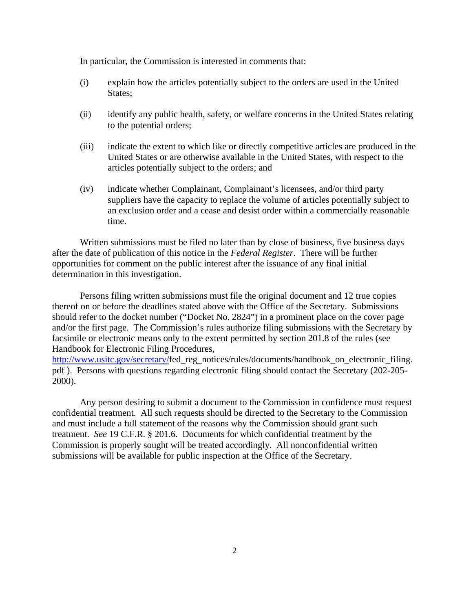In particular, the Commission is interested in comments that:

- (i) explain how the articles potentially subject to the orders are used in the United States;
- (ii) identify any public health, safety, or welfare concerns in the United States relating to the potential orders;
- (iii) indicate the extent to which like or directly competitive articles are produced in the United States or are otherwise available in the United States, with respect to the articles potentially subject to the orders; and
- (iv) indicate whether Complainant, Complainant's licensees, and/or third party suppliers have the capacity to replace the volume of articles potentially subject to an exclusion order and a cease and desist order within a commercially reasonable time.

Written submissions must be filed no later than by close of business, five business days after the date of publication of this notice in the *Federal Register*. There will be further opportunities for comment on the public interest after the issuance of any final initial determination in this investigation.

Persons filing written submissions must file the original document and 12 true copies thereof on or before the deadlines stated above with the Office of the Secretary. Submissions should refer to the docket number ("Docket No. 2824") in a prominent place on the cover page and/or the first page. The Commission's rules authorize filing submissions with the Secretary by facsimile or electronic means only to the extent permitted by section 201.8 of the rules (see Handbook for Electronic Filing Procedures,

http://www.usitc.gov/secretary/fed\_reg\_notices/rules/documents/handbook\_on\_electronic\_filing. pdf ). Persons with questions regarding electronic filing should contact the Secretary (202-205- 2000).

Any person desiring to submit a document to the Commission in confidence must request confidential treatment. All such requests should be directed to the Secretary to the Commission and must include a full statement of the reasons why the Commission should grant such treatment. *See* 19 C.F.R. § 201.6. Documents for which confidential treatment by the Commission is properly sought will be treated accordingly. All nonconfidential written submissions will be available for public inspection at the Office of the Secretary.